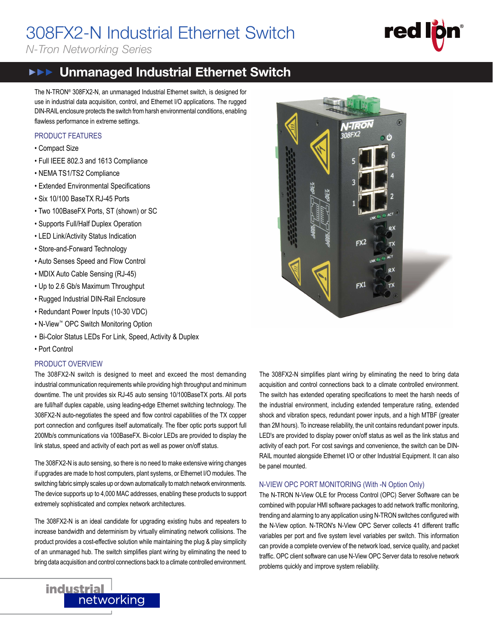# 308FX2-N Industrial Ethernet Switch

*N-Tron Networking Series*

# **red** 308FX2-N

### **FRE** Unmanaged Industrial Ethernet Switch

The N-TRON® 308FX2-N, an unmanaged Industrial Ethernet switch, is designed for use in industrial data acquisition, control, and Ethernet I/O applications. The rugged DIN-RAIL enclosure protects the switch from harsh environmental conditions, enabling flawless performance in extreme settings.

#### PRODUCT FEATURES

- Compact Size
- Full IEEE 802.3 and 1613 Compliance
- NEMA TS1/TS2 Compliance
- Extended Environmental Specifications
- Six 10/100 BaseTX RJ-45 Ports
- Two 100BaseFX Ports, ST (shown) or SC
- Supports Full/Half Duplex Operation
- LED Link/Activity Status Indication
- Store-and-Forward Technology
- Auto Senses Speed and Flow Control
- MDIX Auto Cable Sensing (RJ-45)
- Up to 2.6 Gb/s Maximum Throughput
- Rugged Industrial DIN-Rail Enclosure
- Redundant Power Inputs (10-30 VDC)
- N-View™ OPC Switch Monitoring Option
- Bi-Color Status LEDs For Link, Speed, Activity & Duplex
- Port Control

#### PRODUCT OVERVIEW

The 308FX2-N switch is designed to meet and exceed the most demanding industrial communication requirements while providing high throughput and minimum downtime. The unit provides six RJ-45 auto sensing 10/100BaseTX ports. All ports are full/half duplex capable, using leading-edge Ethernet switching technology. The 308FX2-N auto-negotiates the speed and flow control capabilities of the TX copper port connection and configures itself automatically. The fiber optic ports support full 200Mb/s communications via 100BaseFX. Bi-color LEDs are provided to display the link status, speed and activity of each port as well as power on/off status.

The 308FX2-N is auto sensing, so there is no need to make extensive wiring changes if upgrades are made to host computers, plant systems, or Ethernet I/O modules. The switching fabric simply scales up or down automatically to match network environments. The device supports up to 4,000 MAC addresses, enabling these products to support extremely sophisticated and complex network architectures.

The 308FX2-N is an ideal candidate for upgrading existing hubs and repeaters to increase bandwidth and determinism by virtually eliminating network collisions. The product provides a cost-effective solution while maintaining the plug & play simplicity of an unmanaged hub. The switch simplifies plant wiring by eliminating the need to bring data acquisition and control connections back to a climate controlled environment.



The 308FX2-N simplifies plant wiring by eliminating the need to bring data acquisition and control connections back to a climate controlled environment. The switch has extended operating specifications to meet the harsh needs of the industrial environment, including extended temperature rating, extended shock and vibration specs, redundant power inputs, and a high MTBF (greater than 2M hours). To increase reliability, the unit contains redundant power inputs. LED's are provided to display power on/off status as well as the link status and activity of each port. For cost savings and convenience, the switch can be DIN-RAIL mounted alongside Ethernet I/O or other Industrial Equipment. It can also be panel mounted.

#### N-VIEW OPC PORT MONITORING (With -N Option Only)

The N-TRON N-View OLE for Process Control (OPC) Server Software can be combined with popular HMI software packages to add network traffic monitoring, trending and alarming to any application using N-TRON switches configured with the N-View option. N-TRON's N-View OPC Server collects 41 different traffic variables per port and five system level variables per switch. This information can provide a complete overview of the network load, service quality, and packet traffic. OPC client software can use N-View OPC Server data to resolve network problems quickly and improve system reliability.

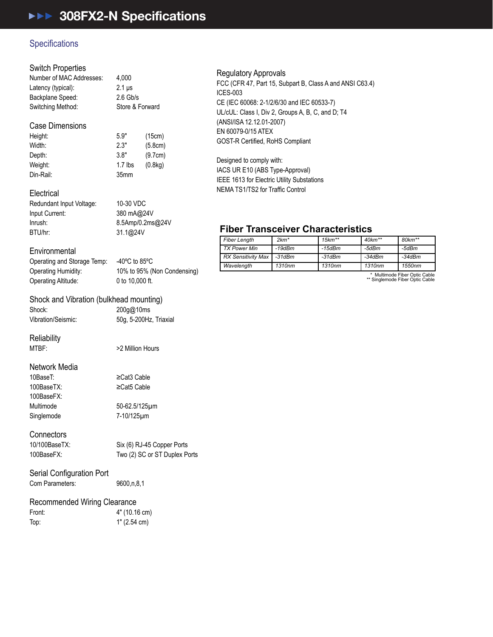### Specifications **Example 2.7**

#### Switch Properties Electrical

| Number of MAC Addresses: | 4.000           |
|--------------------------|-----------------|
| Latency (typical):       | $2.1 \,\mu s$   |
| Backplane Speed:         | $2.6$ Gb/s      |
| Switching Method:        | Store & Forward |
| Case Dimensions          |                 |

#### 5.9" (15cm) Width: 2.3" (5.8cm) Depth: 3.8" (9.7cm) 1.7 lbs (0.8kg) Din-Rail: 35mm Weight: Height: operation and Storage Temperature Temperature Temperature Temperature Temperature Temperature Temperature Temp<br>Temperature Temperature Temperature Temperature Temperature Temperature Temperature Temperature Temperature Te  $\begin{array}{ccc}\n\text{Total:} & \text{A.} & \text{A.} \\
\text{Total:} & \text{A.} & \text{A.} \\
\text{Total:} & \text{A.} & \text{B.} \\
\end{array}$ Operating Altitude: 0 to 10,000 ft. Shinn (bulkhead mounting) (bulkhead mounting)

### Electrical

| Redundant Input Voltage: | 10-30 VDC  |
|--------------------------|------------|
| Input Current:           | 380 mA@24  |
| Inrush:                  | 8.5Amp/0.2 |
| BTU/hr:                  | 31.1@24V   |
|                          |            |

### 380 mA@24V 8.5Amp/0.2ms@24V 31.1@24V

### Environmental

| -------------------         |                                     |
|-----------------------------|-------------------------------------|
| Operating and Storage Temp: | -40 $^{\circ}$ C to 85 $^{\circ}$ C |
| <b>Operating Humidity:</b>  | 10% to 95% (Non Condensing)         |
| Operating Altitude:         | 0 to $10.000$ ft.                   |
|                             |                                     |

50g, 5-200Hz, Triaxial

### Shock and Vibration (bulkhead mounting)

Shock: 200g@10ms Depth: 3.8" (9.7cm) Connectors  $\frac{1}{2}$   $\frac{1}{2}$   $\frac{1}{2}$   $\frac{1}{2}$   $\frac{1}{2}$   $\frac{1}{2}$   $\frac{1}{2}$   $\frac{1}{2}$   $\frac{1}{2}$   $\frac{1}{2}$   $\frac{1}{2}$   $\frac{1}{2}$   $\frac{1}{2}$   $\frac{1}{2}$   $\frac{1}{2}$   $\frac{1}{2}$   $\frac{1}{2}$   $\frac{1}{2}$   $\frac{1}{2}$   $\frac{1}{2}$   $\frac{1}{2}$   $\frac{1}{2}$ 

Reliability<br>
<sub>200</sub>

 $S<sub>1</sub>$  Control Control Control Control Control Control Control Control Control Control Control Control Control Control Control Control Control Control Control Control Control Control Control Control Control Control Co

MTBF:  $>2$  Million Hours

### Network Media

100BaseFX: BTU/hr: 31.1@24V Front: 4" (10.16 cm) 10BaseT: Inrush: 8.5Amp/0.2ms@24V Recommended Wiring Clearance Singlemode Multimode

≥Cat5 Cable 50-62.5/125μm

≥Cat3 Cable

7-10/125μm

#### Connectors **Constants**

Six (6) RJ-45 Copper Ports 100BaseFX: Two (2) SC or ST Duplex Ports 10/100BaseTX:

# Serial Configuration Port

Com Parameters: 9600, n, 8, 1

## Recommended Wiring Clearance

| Front: | 4" (10.16 cm) |
|--------|---------------|
| Top:   | 1" (2.54 cm)  |

#### **Fiber Transceiver Characteristics**  Regulatory Approvals

*Fiber Length 2km\* 15km\*\* 40km\*\* 80km\*\** FCC (CFR 47, Part 15, Subpart B, Class A and ANSI C63.4) *Wavelength 1310nm 1310nm 1310nm 1550nm* CE (IEC 60068: 2-1/2/6/30 and IEC 60533-7) ICES-003 UL/cUL: Class I, Div 2, Groups A, B, C, and D; T4 (ANSI/ISA 12.12.01-2007) EN 60079-0/15 ATEX GOST-R Certified, RoHS Compliant

NEMA TS1/TS2 for Traffic Control Designed to comply with: IACS UR E10 (ABS Type-Approval) IEEE 1613 for Electric Utility Substations

#### $\blacksquare$   $\blacksquare$   $\blacksquare$   $\blacksquare$   $\blacksquare$   $\blacksquare$ **Fiber Transceiver Characteristics**

| <b>Fiber Length</b>       | $2km*$   | $15km**$ | $40$ km <sup>**</sup> | $80 km**$ |
|---------------------------|----------|----------|-----------------------|-----------|
| TX Power Min              | $-19dBm$ | $-15dBm$ | -5dBm                 | -5dBm     |
| <b>RX Sensitivity Max</b> | $-31dBm$ | $-31dBm$ | $-34dBm$              | -34dBm    |
| Wavelength                | 1310nm   | 1310nm   | 1310nm                | 1550nm    |

\* Multimode Fiber Optic Cable \*\* Singlemode Fiber Optic Cable